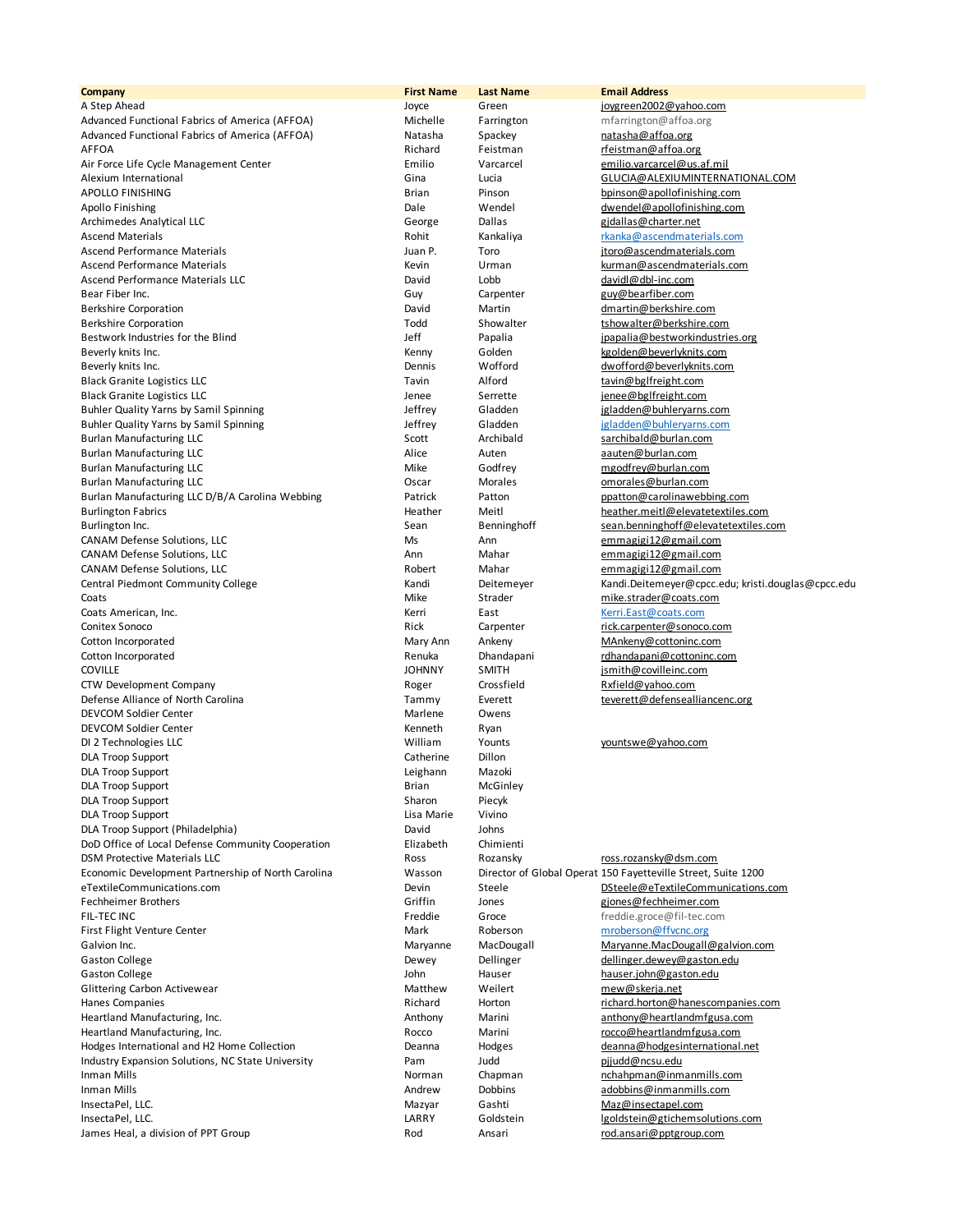**Company First Name Last Name Email Address** A Step Ahead **Joyce** Green Green joygreen2002@yahoo.com<br>Advanced Functional Fabrics of America (AFFOA) **Advanced Functional Factional Step Annum** Green and a mfarrington@affoa.org Advanced Functional Fabrics of America (AFFOA) Michelle Farrington mfarrington mfarrington mfarrington mfarrington m Advanced Functional Fabrics of America (AFFOA) Natasha Spackey hatasha and affoa.org AFFOA RICHARD RICHARD RIChard Feistman Feistman Feistman The Richard Feistman Raffoa.org Air Force Life Cycle Management Center **Emilio** Emilio Varcarcel **Emilio.** Varcarcel emilio.varcarcel@us.af.mil Alexium International Gina Lucia GLUCIA@ALEXIUMINTERNATIONAL.COM APOLLO FINISHING **Brian** Brian Pinson bpinson@apollofinishing.com Apollo Finishing<br>
Archimedes Analytical LLC<br>
Archimedes Analytical LLC<br>
Archimedes Analytical LLC Archimedes Analytical LLC and the Communical Ceorge Dallas and Dallas gidallas and gidallas gidallas gidallas gidallas extension of the George Charter.net Ascend Materials **Assumes Assumes and Assumes Ascendinaterials** Rohit Kankaliya rkanka **Rohit** Kanka Assumes Rohit Assumes Rohit Assumes Rohit Assumes Rohit Assumes Rohit Assumes Rohit Assumes Rohit Assumes Rohit Assumes R Ascend Performance Materials **Materials Community** Juan P. Toro in the structure intervals.com Ascend Performance Materials **Kevin** Kevin Urman Kurman kurman kurman kurman kurman kurman kurman kurman kurman ku Ascend Performance Materials LLC and the Communication of the David Lobb davidl@dbl-inc.com Bear Fiber Inc. **Guy Carpenter** Guy Carpenter guy@bearfiber.com Berkshire Corporation David Martin dmartin@berkshire.com Berkshire Corporation and Showalter the Corporation Corporation Corporation Corporation Corporation Corporation Todd Showalter tshowalter tshowalter tshows that the Corporation Corporation Corporation Corporation Corporati Bestwork Industries for the Blind Theorem Section 1991 and Jeff Papalia Jeff Papalia ipapalia@bestworkindustries.org Beverly knits Inc. The Community of the Community of Menny Median Colden Community Colden Community Community Co<br>Beverly knits Inc. The Community Community Community Community Contract Community Community Community Communi Black Granite Logistics LLC<br>
Black Granite Logistics LLC<br>
Black Granite Logistics LLC Tavin Alford Serrette Serrette and the lene enginee@bglfreight.com Black Granite Logistics LLC and the server of the server of the Serrette server in the server of the server of the server of the server of the server of the server of the server of the server of the server of the server of Buhler Quality Yarns by Samil Spinning and the state of the settler of the settler of the settler of the settler of the settler of the settler of the settler of the settler of the settler of the settler of the settler of t Buhler Quality Yarns by Samil Spinning and the State of the State of Gladden and State of Tennis and Buhleryarns.com<br>1990 - Scott Archibald (State of State of State of State of State of State of State of State of State of Burlan Manufacturing LLC and Scott and Scott Archibald sarchibald Burlan Manufacturing LLC Alice Auten aauten@burlan.com Burlan Manufacturing LLC and the Mike Godfrey manufacturing LLC Mike Godfrey mgodfrey@burlan.com Burlan Manufacturing LLC Oscar Morales omorales@burlan.com Burlan Manufacturing LLC D/B/A Carolina Webbing **Patrick** Patton Patton Patton Patton putton@carolinawebbing.com Burlington Fabrics Heather Meitl heather.meitl@elevatetextiles.com Burlington Inc. **Sean** Benninghoff sean Benninghoff sean.benninghoff@elevatetextiles.com CANAM Defense Solutions, LLC and the CANAM Defense Solutions, LLC and Ms Ann emmagigi12@gmail.com CANAM Defense Solutions, LLC ann Mahar Mahar emmagigi12@gmail.com CANAM Defense Solutions, LLC and the Canadian Communications of the Robert Mahar and the memagigit2@gmail.com Central Piedmont Community College Mandi Randi Deitemeyer Kandi.Deitemeyer Central Piedmont Community College Community College Community College Community College Community College Community College Community College Comm Coats **Coats** Coats **Coats** Mike Strader mike.strader@coats.com Coats American, Inc. Kerri East Kerri.East@coats.com Conitex Sonoco **Conitex Carpenter** rick Carpenter rick.carpenter rick.carpenter rick.carpenter rick.carpenter rick.carpenter rick.carpenter rick.carpenter rick.carpenter rick.carpenter rick.carpenter rick.carpenter rick.ca Cotton Incorporated The Mary Ann Ankeny MAnkeny MAnkeny MAnkeny MAnkeny MAnkeny MAnkeny MAnkeny MANkeny MANkeny Cotton Incorporated **Renuka** Dhandapani rdhandapani rdhandapani rdhandapani rdhandapani rdhandapani rdhandapani rdhandapani rdhandapani rdhandapani rdhandapani rdhandapani rdhandapani rdhandapani rdhandapani rdhandapani rd COVILLE JOHNNY SMITH jsmith@covilleinc.com CTW Development Company and Company Roger Crossfield Rxfield@yahoo.com Defense Alliance of North Carolina Tammy Tammy Everett the teverett@defensealliancenc.org DEVCOM Soldier Center and the Community of the Marlene Marlene Owens Community Owens Community Community Owens<br>
DEVCOM Soldier Center and the Community Community Community Community Community Community Community Community DEVCOM Soldier Center **Kenneth** Ryan DI 2 Technologies LLC **Community Constructs** William Younts younts yountswe@yahoo.com DLA Troop Support **Catherine** Dillon DLA Troop Support **Contains the Contract of Containing Contract Contract Contract Contract Contract Contract Contract Contract Contract Contract Contract Contract Contract Contract Contract Contract Contract Contract Contr** DLA Troop Support **Example 2** and the State of Brian McGinley<br>
Brian McGinley<br>
Sharon Piecyk DLA Troop Support **Sharon** Piecyk DLA Troop Support **Lisa Marie Vivino** DLA Troop Support (Philadelphia) DLA Troop Support (Philadelphia) DoD Office of Local Defense Community Cooperation Flizabeth Chimienti DSM Protective Materials LLC<br>1991 - Ross Rozansky Ross Ross Ross.rozansky Material Ross.rozansky Ross.rozansky Ross.rozansky Ross.rozansky R<br>1991 - Wasson Director of Global Operat 150 Favetteville Street, S eTextileCommunications.com exteriors and Devin Steele Devin Steele DSteele@eTextileCommunications.com Fechheimer Brothers Griffin der Griffin der Griffin der Spreegen gjones gjones gjones gjones gjones gjones gjones gjones gjones gjones gjones gjones gjones gjones gjones gjones gjones gjones gjones gjones gjones gjones gjo FIL-TEC INC Freddie Groce freddie.groce@fil-tec.com First Flight Venture Center The Mark Roberson mroberson@ffvcnc.org Galvion Inc. **Maryanne** MacDougall Maryanne MacDougall Maryanne.MacDougall@galvion.com Gaston College **Gaston College** Dellinger and Dewey Dellinger and Dellinger.dewey@gaston.edu<br>
Saston College Caston.edu<br>
John Hauser Hauser hauser.john@gaston.edu Glittering Carbon Activewear **Matthew** Matthew Weilert mew@skerja.net Hanes Companies Richard Horton richard.horton@hanescompanies.com Heartland Manufacturing, Inc. <br>
Anthony Marini anthony Marini anthony anthony anthony anthony anthony anthony anthony anthony anthony anthony Heartland Manufacturing, Inc. and Exercise and Corresponding the Community of Marini rocco@heartlandmfgusa.com<br>Hodges International and H2 Home Collection and the Collection Deanna Hodges deanna deanna and H2 Home Collecti Hodges International and H2 Home Collection **Deanna** Hodges Industry Expansion Solutions, NC State University **Pam** Judd Judd pjjudd@ncsu.edu Inman Mills **Institute and Chapman Chapman** Chapman name of the manniforman of the manniforman nchahpman nchahpman<br>Inman Mills Institute and the manniforman and the component of the component of the manniforman of the mann InsectaPel, LLC. **According to the Contract Contract Contract Contract Mazyar** Gashti Contract Contract Maz<sub>i</sub> Maz<sub>i</sub> Mazimus Contract Mazyar Gashti Mazimus Contract Mazimus Contract Mazimus Contract Mazimus Contract Mazim InsectaPel, LLC. **LARRY** Goldstein land and large setting the setting of the setting of the setting of the setting of the setting of the setting of the setting of the setting of the setting of the setting of the setting of James Heal, a division of PPT Group **Rodes Ansari Rodes Ansari Rodes Ansari rod.** ansari *rod.ansari@pptgroup.com* 

dwofford@beverlyknits.com Wasson Director of Global Operat 150 Fayetteville Street, Suite 1200 hauser.john@gaston.edu Andrew Dobbins adobbins@inmanmills.com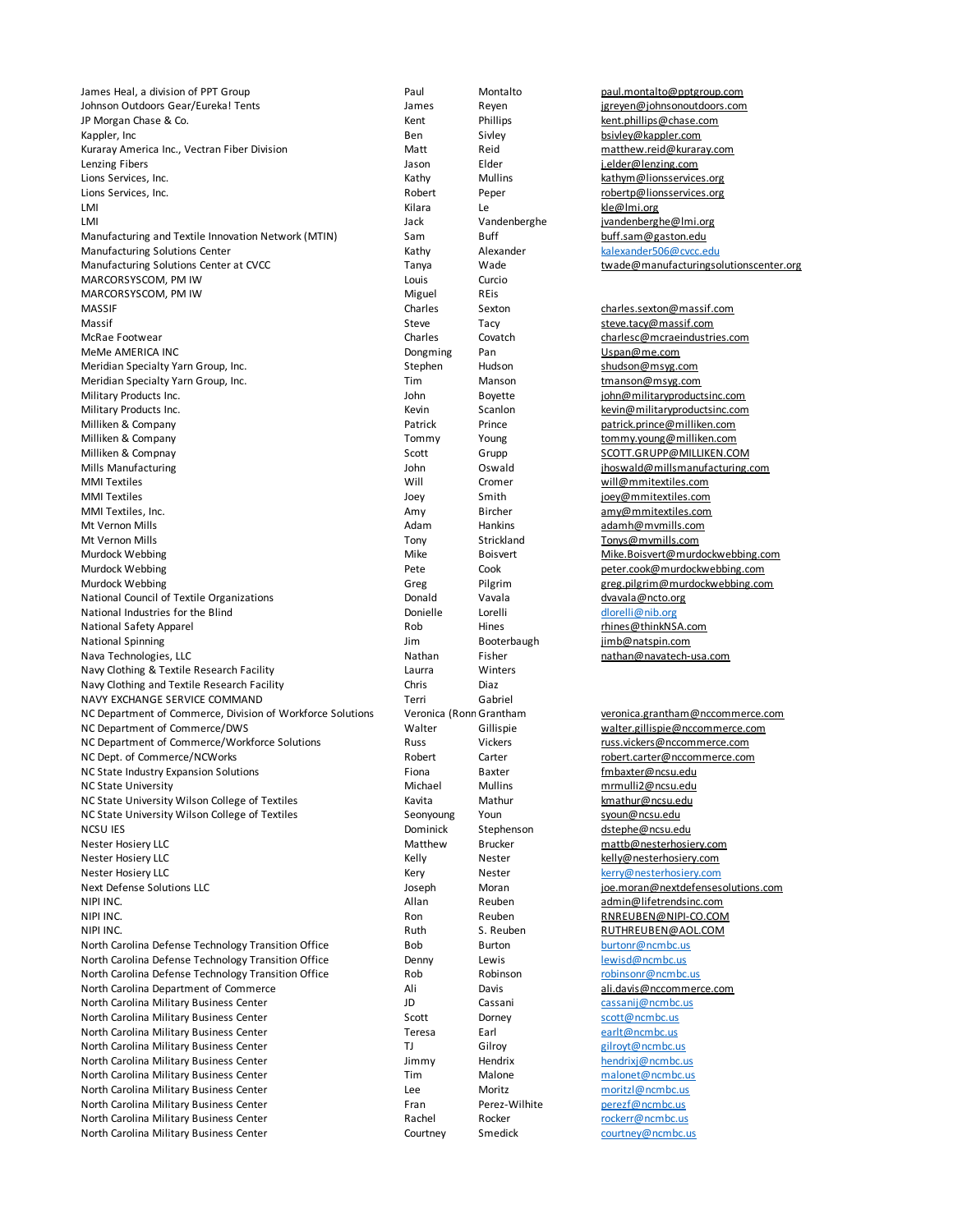James Heal, a division of PPT Group **Paul Paul Paul Montalto Paul.** Montalto Paul.montalto **paul.montalto** Johnson Outdoors Gear/Eureka! Tents James Reyen jgreyen@johnsonoutdoors.com JP Morgan Chase & Co. **Kent Phillips** Kent Phillips **Kent.phillips Community** kent.phillips **kent.phillips kent.phillips kent.phillips kent.phillips kent.phillips kent.phillips kent.phillips kent.phillips** Kappler, Inc **Example 2** Siviley Ben Sivley Sivley Siviley **bsivley@kappler.com** Kuraray America Inc., Vectran Fiber Division Matt Reid Reid matthew.reid@kuraray.com Lenzing Fibers (1992)<br>
Lenzing Fibers (1993)<br>
Lions Services Jackson (1994)<br>
Lions Services Jackson (1994)<br>
Lions Services Jackson (1994)<br>
Lions Services Jackson (1994) Lions Services, Inc. **According to the Contract Peper** Robert Peper robertp@lionsservices.org LMI Kilara Le kle@lmi.org LMI 1999 LOCK Vandenberghe in the intervention of the state of the vandenberghe in the vandenberghe in the van the vandenberghe of the van the van the van the van the van the van the van the van the van the van the van the Manufacturing and Textile Innovation Network (MTIN) Sam Buff buff.sam@gaston.edu Manufacturing Solutions Center The Content Center Kathy Alexander Alexander Kathy Alexander Kalexander 506@cvcc.edu Manufacturing Solutions Center at CVCC Tanya Wade twade twade twade twade twade twade twade twade twade twade twade twade twade twade twade twade twade twade twade twade twade twade twade twade twade twade twade twade twad MARCORSYSCOM, PM IW **Example 2018** Louis Curcio MARCORSYSCOM, PM IW Miguel REis MASSIF Charles Sexton charles.sexton@massif.com Massif **Steve Tacy** Steve Tacy Steve Tacy Steve.tacy@massif.com McRae Footwear Charles Covatch charlesc@mcraeindustries.com MeMe AMERICA INC<br>
Meridian Specialty Yarn Group, Inc. The Comment of the Stephen Hudson Thus Shudson Meridian Specialty Yarn Group, Inc. Meridian Specialty Yarn Group, Inc. Subsection Stephen Hudson Shudson and Stephen shudson may get the shudson shudson shudson and the shudson shudson shudson shudson shudson shudson shudson shudson shudson shudson shudson Meridian Specialty Yarn Group, Inc. The Manson Tim Manson tmanson@msyg.com Military Products Inc. **Military Products** Inc. Community Community Inc. And Boyette inc. Community Inc. Community Inc. Community Inc. Community Inc. Community Inc. Community Inc. Community Inc. Community Inc. Community In Military Products Inc. **Keyling Community Community Community** Scanlon Kevin Scanlon Kevin kevin@militaryproductsinc.com Milliken & Company Patrick Prince patrick.prince@milliken.com Milliken & Company Tommy Tommy Young tommy.young@milliken.com Milliken & Compnay The Composition of the Scott Scott Grupp SCOTT.GRUPP@MILLIKEN.COM Mills Manufacturing and the United States of the United States of the Oswald Communisty induced in the Millsmanufacturing.com MMI Textiles Will Cromer will@mmitextiles.com MMI Textiles and the state of the state of the state of the state of the state of the state of the state of the state of the state of the state of the state of the state of the state of the state of the state of the state MMI Textiles, Inc. **Amy** Bircher amy Bircher amy amy@mmitextiles.com Mt Vernon Mills **Adam** Hankins and Hankins adamh@mvmills.com Mt Vernon Mills **Tonys** Tony Strickland Tonys@mvmills.com Murdock Webbing **Mike** Boisvert Mike Boisvert Mike. Boisvert Mike. Boisvert Book Mike. A struck and the Boisvert Mike Boisvert Mike Boisvert American Mike A struck and the Boisvert Mike A struck and the Boisvert Mike A str Murdock Webbing **Pete** Cook peter.cook@murdockwebbing.com Murdock Webbing **Murdockwebbing.com** Greg Pilgrim greg.pilgrim greg.pilgrim@murdockwebbing.com National Council of Textile Organizations **Donald** Vavala Vavala dvavala@ncto.org National Industries for the Blind Theorem 2001 Conielle Lorelli and Donielle Lorelli and Donielli enjoying the U National Safety Apparel **Rob** Hines rhines rhines rhines rhines rhines rhines rhines rhines rhines rhines rhines rhines rhines rhines rhines rhines rhines rhines rhines rhines rhines rhines rhines rhines rhines rhines rhin National Spinning Jim Booterbaugh jimb@natspin.com Nava Technologies, LLC **Nathan Fisher** Nathan Pisher nathan Fisher nathan nathan nathan Fisher nathan nathan nathan nathan nathan nathan nathan nathan nathan nathan na hannya nathan na hannya nathan na hannya na hannya na Navy Clothing & Textile Research Facility **Laurra** Laurra Winters Navy Clothing and Textile Research Facility Chris Chris Diaz NAVY EXCHANGE SERVICE COMMAND Terri Gabriel NC Department of Commerce, Division of Workforce Solutions Veronica (Ronn Grantham veronica.grantham@nccommerce.com<br>NC Department of Commerce/DWS veronical division walter commerce.com veronica.grantham@nccommerce.com NC Department of Commerce/Workforce Solutions Russ Russ Vickers russ.vickers@nccommerce.com NC Dept. of Commerce/NCWorks and the community Robert Carter robert.carter@nccommerce.com NC State Industry Expansion Solutions Fiona Fiona Baxter Findustrian Expansion Solutions Findustrian Findustrian Expansion Solutions Findustrian Baxter Findustrian Expansion Solutions Findustrian Baxter Findustrian Expansi NC State University Michael Mullins mrmulli2@ncsu.edu NC State University Wilson College of Textiles Kavita Mathur Mathur Karathur Romathur Annual Amathur Kmathur Kmathur Kmathur Kmathur Kmathur Kmathur Kmathur Kmathur Kmathur Kmathur Kmathur Kmathur Kmathur Kmathur Kmathur K NC State University Wilson College of Textiles Seonyoung Youn Stephenson Syoun@ncsu.edu<br>
NCSU IES Stephenson Stephenson Stephenson Stephenson Stephenson Stephenson Stephensu.edu Nester Hosiery LLC **Matthew Brucker matthew** Brucker matthew **matth@nesterhosiery.com** Nester Hosiery LLC Kelly Nester kelly@nesterhosiery.com Nester Hosiery LLC Kery Nester kerry@nesterhosiery.com Next Defense Solutions LLC and the Solutions LC Joseph Moran joe.moran@nextdefensesolutions.com NIPI INC. Allan Reuben admin@lifetrendsinc.com NIPI INC. Ron Reuben RNREUBEN@NIPI-CO.COM NIPI INC. Ruth S. Reuben RUTHREUBEN@AOL.COM North Carolina Defense Technology Transition Office **Bob** Burton Burton burtonr@ncmbc.us North Carolina Defense Technology Transition Office **Denny** Lewis Lewis Lewisd<sub>@ncmbc.us</sub><br>North Carolina Defense Technology Transition Office Rob Robles Robinson and Probinsonr@ncmbc. North Carolina Defense Technology Transition Office **Rob Robinson** Robinson Robinsonr@ncmbc.us North Carolina Department of Commerce **Ali** Ali Davis **Ali** Davis ali.davis@nccommerce.com North Carolina Military Business Center The Cassani Cassani Cassani cassanij@ncmbc.us North Carolina Military Business Center Scott Scott Dorney Scott Scott Scott Scott Scott Scott Scott Scott Scott Scott Scott Scott Scott Scott Scott Scott Scott Scott Scott Scott Scott Scott Scott Scott Scott Scott Scott S North Carolina Military Business Center Teresa Earl Earl earlt@ncmbc.us North Carolina Military Business Center TJ Gilroy Gilroy gilroyt@ncmbc.us North Carolina Military Business Center **Jimmy** Hendrix Hendrix hendrixj@ncmbc.us North Carolina Military Business Center Tim Tim Malone malonet@ncmbc.us North Carolina Military Business Center **Lee** Moritz Moritz moritzl@ncmbc.us North Carolina Military Business Center Fran Fran Perez-Wilhite perezf@ncmbc.us North Carolina Military Business Center **Rachel Rocker Rachel Rocker Rachel Rocker** Rachel Rocker Rockerr@ncmbc.us North Carolina Military Business Center Courtney Courtney Smedick courtney@ncmbc.us

Dominick Stephenson dstephe@ncsu.edu

Kathy Mullins **Kathym@lionsservices.org** 

walter.gillispie@nccommerce.com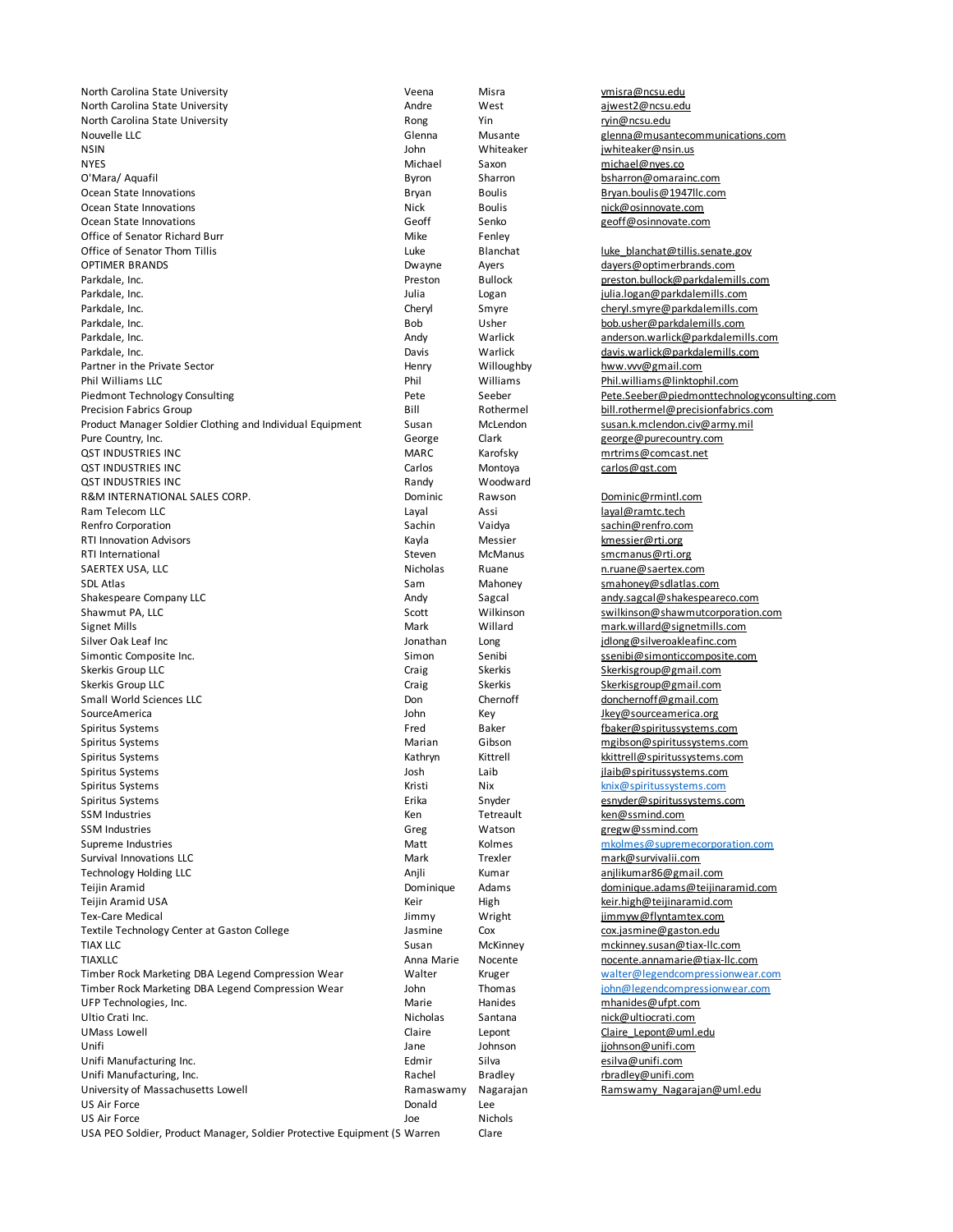North Carolina State University Veena Misra vmisra@ncsu.edu North Carolina State University **Andre** Andre West **Andre** West ajwest2@ncsu.edu North Carolina State University **Rong** Rong Yin Richards Rong Yin ryin@ncsu.edu Nouvelle LLC<br>
Solenna Musante glenna glenna glenna glenna glenna glenna glenna glenna glenna glenna glenna glenna glenna g<br>
Soln Whiteaker Glenna iwhiteaker iwhiteaker glenna glenna glenna glenna glenna glenna glenna glenn NYES Michael Saxon michael@nyes.co Ocean State Innovations and Bryan Boulis Boulis Bryan Boulis Bryan.boulis **Bryan.boulis** Bryan.boulis **Bryan.boulis** Ocean State Innovations and the South Cocean State Innovations and the South Section Animal Section Animal Section<br>1999 Cocean State Innovations and the South Section Accean Senko and the Senko and the Senko and the Senko Office of Senator Richard Burr Mike Fenley Office of Senator Thom Tillis Luke Blanchat luke\_blanchat@tillis.senate.gov OPTIMER BRANDS **DESAULT ACCOMPTIMER BRANDS** DESCRIPTION Agency Ayers **dayers** dayers description of the dayers of the dayers of the dayers of the dayers of the dayers of the dayers of the dayers of the dayers of the dayers Parkdale, Inc. **Parkdale, Inc.** Preston Bullock preston.bullock@parkdalemills.com Parkdale, Inc. **Figure 2018 Parkdale and Logan** and Logan **dependent in the University of Table 2019 Parkdalemills.com** Parkdale, Inc. **Cheryl** Smyre cheryl Smyre cheryl.smyre@parkdalemills.com Parkdale, Inc. **Bob** Usher Bob Usher bob.usher@parkdalemills.com Parkdale, Inc. **Anderson.warlick and Exercise anderson.warlick anderson.warlick anderson.warlick and Figure 2016** Parkdale, Inc. Community Community Charlie and Charlie Markdale, Charlie and Charlie Markdalemills.com Partner in the Private Sector Charlies Community Charlies Henry Willoughby Nurum Museum Charlies Community Charlies And Partner in the Private Sector **Henry** Henry Willoughby hww.vvv@gmail.com Phil Williams LLC<br>Piedmont Technology Consulting and the Matteother Pete Seeber Seeber Pete. Seeber Pete. Seeber Pete Seeber Pete Piedmont Technology Consulting Community Pete Seeber Seeber Pete.Seeber@piedmonttechnologyconsulting.com Precision Fabrics Group **Bill** Rothermel **Bill** Rothermel **Bill**.rothermel@precisionfabrics.com Product Manager Soldier Clothing and Individual Equipment Susan McLendon Susan.k.mclendon.civ@army.mil Pure Country, Inc. **Country Country Country Country Country** Country Country Country Country Country Country Country Country Country Country Country Country Country Country Country Country Country Country Country Country C QST INDUSTRIES INC MARC MARC Karofsky mrtrims@comcast.net QST INDUSTRIES INC CARLOS CARLOS CARLOS CARLOS CARLOS Montoya CARLOS CARLOS CARLOS CARLOS CARLOS CARLOS CARLOS CARLOS CARLOS CARLOS CARLOS CARLOS CARLOS CARLOS CARLOS CARLOS CARLOS CARLOS CARLOS CARLOS CARLOS CARLOS CARLOS QST INDUSTRIES INC **CONTRIGATION** CONTRIGUITION CONTRIGUITION Randy Woodward R&M INTERNATIONAL SALES CORP. The Contract of Communic Rawson Communic Prominic@rmintl.com Ram Telecom LLC **Community Community Community Community** Layal Assi Assi Layal Assi layal@ramtc.tech Renfro Corporation **Sachin Corporation** Sachin Sachin Vaidya sachin Sachin Sachin Sachin Sachin Sachin Sachin Sachin Sachin Sachin Sachin Sachin Sachin Sachin Sachin Sachin Sachin Sachin Sachin Sachin Sachin Sachin Sachin RTI Innovation Advisors The Communication Communication of the Kayla Messier Communication Messier@rti.org RTI International **Steven** McManus Steven McManus Smcmanus@rti.org SAERTEX USA, LLC **Nicholas** Ruane n.ruane n.ruane n.ruane n.ruane n.ruane n.ruane n.ruane n.ruane n.ruane n.ruane n.ruane n.ruane n.ruane n.ruane n.ruane n.ruane n.ruane n.ruane n.ruane n.ruane n.ruane n.ruane n.ruane n.ru SDL Atlas Sam Mahoney Sam Mahoney Smahoney Mahoney Smahoney School School and Smahoney School School School School School School School School School School School School School School School School School School School Sc Shakespeare Company LLC **Andy Sagcal Andy Sagcal Company LLC** Andy Sagcal **Andy** Sagcal andy.sagcal@shakespeareco.com Shawmut PA, LLC **Shawmut PA, LLC** Scott Scott Wilkinson swilkinson@shawmutcorporation.com Signet Mills **Mark** Mark Willard mark.willard mark.willard mark.willard mark.willard mark.willard mark.willard mark.willard mark.willard mark.willard mark.willard mark.willard mark.willard mark.willard mark.willard mark.wi Silver Oak Leaf Inc **Materia Community Constant Community** Jonathan Long and the proposition of the state of the Jonathan Long in the proposition of the state of the state of the state of the state of the state of the stat Simontic Composite Inc. The Simon Senibi senibi ssenibi@simonticcomposite.com Skerkis Group LLC **Skerkisgroup@gmail.com** Craig Skerkis Skerkis Skerkisgroup@gmail.com Skerkis Group LLC **Skerkis Skerkisgroup@gmail.com** Craig Skerkis Skerkisgroup@gmail.com Small World Sciences LLC **Chernoff and Chernoff computers** Don Chernoff computers donchernoff @gmail.com SourceAmerica John Key Jkey@sourceamerica.org Spiritus Systems **Fred** Baker Follow Fred Baker **Fred** Baker **Fred** Baker **Fred** Baker **Fred** Baker **Fred** Baker **Fred** Baker **Fred** Baker **Fred** Baker **Fred** Baker **Fred** Baker **Fred** Baker **Fred** Baker **Fred** Baker **Fred** Spiritus Systems Marian Gibson mgibson@spiritussystems.com Spiritus Systems **Kathryn Kathryn** Kathryn Kittrell Kittrell Kittrell Kittrell Kuthryn Kittrell Kuthryn Kittrell K Spiritus Systems Josh Laib jlaib@spiritussystems.com Spiritus Systems **Kristi** Nix knix@spiritussystems.com Spiritus Systems **Subsetems.com** Erika Snyder estimates esnyder essenyder@spiritussystems.com SSM Industries STM Industries Community Community Community Community Community Community Community Community Community Community Community Community Community Community Community Community Community Community Community Co Supreme Industries and Matt Molmes miscle methods methods methods methods methods methods methods methods methods methods methods methods methods methods methods methods methods methods methods methods methods methods meth Survival Innovations LLC Mark Trexler mark@survivalii.com Technology Holding LLC **Anglicum** Anjli Kumar anjlikumar86@gmail.com Teijin Aramid **Dominique Adams** dominique adams dominique.adams@teijinaramid.com Teijin Aramid USA **Keir** Keir High Keir High keir.high@teijinaramid.com Tex-Care Medical **Tex-Care Medical** Jimmy Wright Wright in the immyw@flyntamtex.com Textile Technology Center at Gaston College Jasmine Cox cox.jasmine@gaston.edu TIAX LLC Susan McKinney mckinney.susan@tiax-llc.com TIAXLLC **CONFINGTER CONFINENTIATE CONFINENTIATE ANN** Anna Marie Nocente more nocente.annamarie@tiax-llc.com<br>Timber Rock Marketing DBA Legend Compression Wear Walter Wruger Kruger walter@legendcompressionwear Timber Rock Marketing DBA Legend Compression Wear Walter Kruger walter@legendcompressionwear.com Timber Rock Marketing DBA Legend Compression Wear John John Thomas john@legendcompressionwear.com UFP Technologies, Inc. Marie Hanides mhanides@ufpt.com Ultio Crati Inc. **Nicholas** Santana nick@ultiocrati.com UMass Lowell **Claire** Claire Lepont Claire Lepont Claire Lepont Claire Lepont Claire Lepont Claire Lepont Claire Lepont Claire Lepont Claire Lepont Claire Lepont Claire Lepont Claire Lepont Claire Lepont Claire Lepont Clai Unifi **Jane** Johnson **Johnson** jjohnson jiohnson **jiohnson** eniti.com Unifi Manufacturing Inc. **Edmir** Edmir Silva esilva@unifi.com Unifi Manufacturing, Inc. The Control of the Control Bradley Rachel Bradley reports and the control of the Bradley reports of the Control of the Control of the Control of Rachel Bradley reports and the Control of the Contr University of Massachusetts Lowell **Ramaswamy** Nagarajan Ramswamy Nagarajan Ramswamy Nagarajan@uml.edu US Air Force **Donald** Lee **Donald** Lee **Donald** Lee **Donald** Lee **Nichols** US Air Force Joe Nichols USA PEO Soldier, Product Manager, Soldier Protective Equipment (S Warren Clare

John Whiteaker jwhiteaker@nsin.us Byron Sharron bsharron@omarainc.com geoff@osinnovate.com Greg Watson gregw@ssmind.com